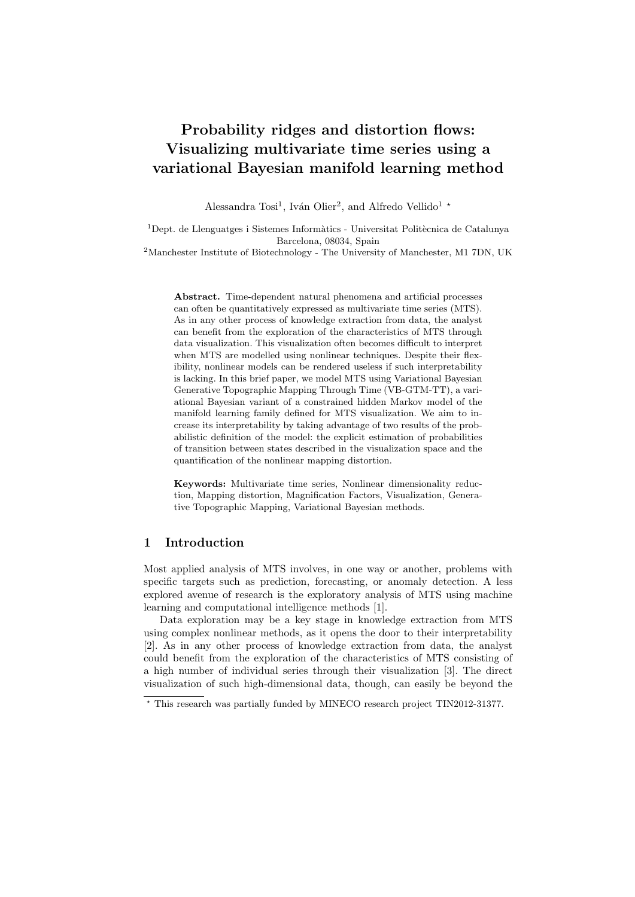# Probability ridges and distortion flows: Visualizing multivariate time series using a variational Bayesian manifold learning method

Alessandra Tosi<sup>1</sup>, Iván Olier<sup>2</sup>, and Alfredo Vellido<sup>1</sup><sup>\*</sup>

 $1$ Dept. de Llenguatges i Sistemes Informàtics - Universitat Politècnica de Catalunya Barcelona, 08034, Spain

<sup>2</sup>Manchester Institute of Biotechnology - The University of Manchester, M1 7DN, UK

Abstract. Time-dependent natural phenomena and artificial processes can often be quantitatively expressed as multivariate time series (MTS). As in any other process of knowledge extraction from data, the analyst can benefit from the exploration of the characteristics of MTS through data visualization. This visualization often becomes difficult to interpret when MTS are modelled using nonlinear techniques. Despite their flexibility, nonlinear models can be rendered useless if such interpretability is lacking. In this brief paper, we model MTS using Variational Bayesian Generative Topographic Mapping Through Time (VB-GTM-TT), a variational Bayesian variant of a constrained hidden Markov model of the manifold learning family defined for MTS visualization. We aim to increase its interpretability by taking advantage of two results of the probabilistic definition of the model: the explicit estimation of probabilities of transition between states described in the visualization space and the quantification of the nonlinear mapping distortion.

Keywords: Multivariate time series, Nonlinear dimensionality reduction, Mapping distortion, Magnification Factors, Visualization, Generative Topographic Mapping, Variational Bayesian methods.

## 1 Introduction

Most applied analysis of MTS involves, in one way or another, problems with specific targets such as prediction, forecasting, or anomaly detection. A less explored avenue of research is the exploratory analysis of MTS using machine learning and computational intelligence methods [1].

Data exploration may be a key stage in knowledge extraction from MTS using complex nonlinear methods, as it opens the door to their interpretability [2]. As in any other process of knowledge extraction from data, the analyst could benefit from the exploration of the characteristics of MTS consisting of a high number of individual series through their visualization [3]. The direct visualization of such high-dimensional data, though, can easily be beyond the

<sup>?</sup> This research was partially funded by MINECO research project TIN2012-31377.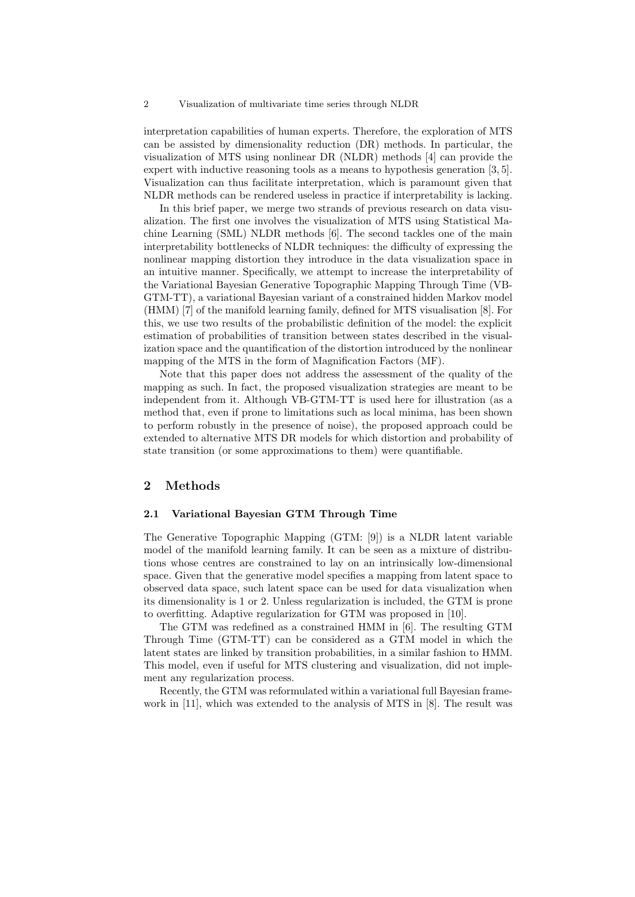interpretation capabilities of human experts. Therefore, the exploration of MTS can be assisted by dimensionality reduction (DR) methods. In particular, the visualization of MTS using nonlinear DR (NLDR) methods [4] can provide the expert with inductive reasoning tools as a means to hypothesis generation [3, 5]. Visualization can thus facilitate interpretation, which is paramount given that NLDR methods can be rendered useless in practice if interpretability is lacking.

In this brief paper, we merge two strands of previous research on data visualization. The first one involves the visualization of MTS using Statistical Machine Learning (SML) NLDR methods [6]. The second tackles one of the main interpretability bottlenecks of NLDR techniques: the difficulty of expressing the nonlinear mapping distortion they introduce in the data visualization space in an intuitive manner. Specifically, we attempt to increase the interpretability of the Variational Bayesian Generative Topographic Mapping Through Time (VB-GTM-TT), a variational Bayesian variant of a constrained hidden Markov model (HMM) [7] of the manifold learning family, defined for MTS visualisation [8]. For this, we use two results of the probabilistic definition of the model: the explicit estimation of probabilities of transition between states described in the visualization space and the quantification of the distortion introduced by the nonlinear mapping of the MTS in the form of Magnification Factors (MF).

Note that this paper does not address the assessment of the quality of the mapping as such. In fact, the proposed visualization strategies are meant to be independent from it. Although VB-GTM-TT is used here for illustration (as a method that, even if prone to limitations such as local minima, has been shown to perform robustly in the presence of noise), the proposed approach could be extended to alternative MTS DR models for which distortion and probability of state transition (or some approximations to them) were quantifiable.

## 2 Methods

## 2.1 Variational Bayesian GTM Through Time

The Generative Topographic Mapping (GTM: [9]) is a NLDR latent variable model of the manifold learning family. It can be seen as a mixture of distributions whose centres are constrained to lay on an intrinsically low-dimensional space. Given that the generative model specifies a mapping from latent space to observed data space, such latent space can be used for data visualization when its dimensionality is 1 or 2. Unless regularization is included, the GTM is prone to overfitting. Adaptive regularization for GTM was proposed in [10].

The GTM was redefined as a constrained HMM in [6]. The resulting GTM Through Time (GTM-TT) can be considered as a GTM model in which the latent states are linked by transition probabilities, in a similar fashion to HMM. This model, even if useful for MTS clustering and visualization, did not implement any regularization process.

Recently, the GTM was reformulated within a variational full Bayesian framework in [11], which was extended to the analysis of MTS in [8]. The result was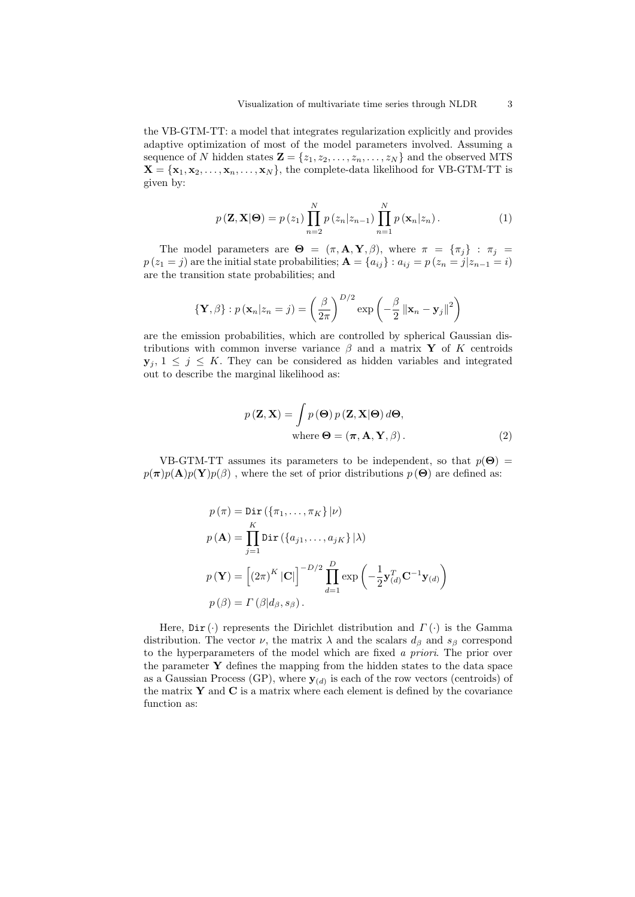the VB-GTM-TT: a model that integrates regularization explicitly and provides adaptive optimization of most of the model parameters involved. Assuming a sequence of N hidden states  $\mathbf{Z} = \{z_1, z_2, \dots, z_n, \dots, z_N\}$  and the observed MTS  $X = \{x_1, x_2, \ldots, x_n, \ldots, x_N\}$ , the complete-data likelihood for VB-GTM-TT is given by:

$$
p(\mathbf{Z}, \mathbf{X}|\mathbf{\Theta}) = p(z_1) \prod_{n=2}^{N} p(z_n | z_{n-1}) \prod_{n=1}^{N} p(\mathbf{x}_n | z_n).
$$
 (1)

The model parameters are  $\Theta = (\pi, \mathbf{A}, \mathbf{Y}, \beta)$ , where  $\pi = {\pi_i}$  :  $\pi_i =$  $p(z_1 = j)$  are the initial state probabilities;  $\mathbf{A} = \{a_{ij}\} : a_{ij} = p(z_n = j | z_{n-1} = i)$ are the transition state probabilities; and

$$
\left\{ \mathbf{Y}, \beta \right\} : p\left( \mathbf{x}_n | z_n = j \right) = \left( \frac{\beta}{2\pi} \right)^{D/2} \exp \left( -\frac{\beta}{2} \left\| \mathbf{x}_n - \mathbf{y}_j \right\|^2 \right)
$$

are the emission probabilities, which are controlled by spherical Gaussian distributions with common inverse variance  $\beta$  and a matrix Y of K centroids  $y_j, 1 \leq j \leq K$ . They can be considered as hidden variables and integrated out to describe the marginal likelihood as:

$$
p(\mathbf{Z}, \mathbf{X}) = \int p(\mathbf{\Theta}) p(\mathbf{Z}, \mathbf{X} | \mathbf{\Theta}) d\mathbf{\Theta},
$$
  
where  $\mathbf{\Theta} = (\boldsymbol{\pi}, \mathbf{A}, \mathbf{Y}, \beta).$  (2)

VB-GTM-TT assumes its parameters to be independent, so that  $p(\Theta)$  =  $p(\pi)p(\mathbf{A})p(\mathbf{Y})p(\beta)$ , where the set of prior distributions  $p(\mathbf{\Theta})$  are defined as:

$$
p(\pi) = \text{Dir}(\{\pi_1, ..., \pi_K\} | \nu)
$$
  
\n
$$
p(\mathbf{A}) = \prod_{j=1}^{K} \text{Dir}(\{a_{j1}, ..., a_{jK}\} | \lambda)
$$
  
\n
$$
p(\mathbf{Y}) = [(2\pi)^K |\mathbf{C}|]^{-D/2} \prod_{d=1}^{D} \exp\left(-\frac{1}{2} \mathbf{y}_{(d)}^T \mathbf{C}^{-1} \mathbf{y}_{(d)}\right)
$$
  
\n
$$
p(\beta) = \Gamma(\beta | d_{\beta}, s_{\beta}).
$$

Here,  $Dir(\cdot)$  represents the Dirichlet distribution and  $\Gamma(\cdot)$  is the Gamma distribution. The vector  $\nu$ , the matrix  $\lambda$  and the scalars  $d_{\beta}$  and  $s_{\beta}$  correspond to the hyperparameters of the model which are fixed a priori. The prior over the parameter  $\bf{Y}$  defines the mapping from the hidden states to the data space as a Gaussian Process (GP), where  $y_{(d)}$  is each of the row vectors (centroids) of the matrix  $Y$  and  $C$  is a matrix where each element is defined by the covariance function as: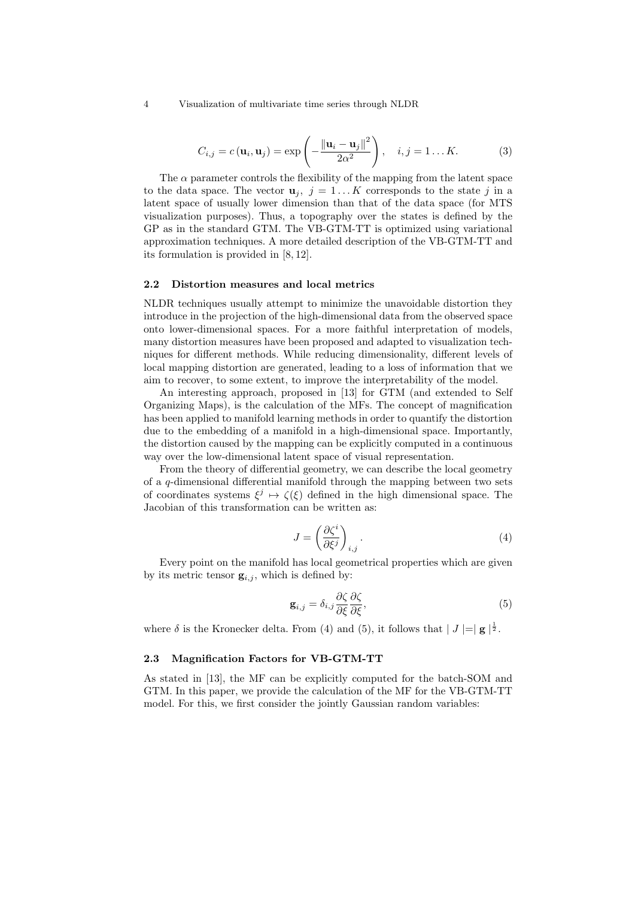$$
C_{i,j} = c(\mathbf{u}_i, \mathbf{u}_j) = \exp\left(-\frac{\|\mathbf{u}_i - \mathbf{u}_j\|^2}{2\alpha^2}\right), \quad i, j = 1...K.
$$
 (3)

The  $\alpha$  parameter controls the flexibility of the mapping from the latent space to the data space. The vector  $\mathbf{u}_i, j = 1...K$  corresponds to the state j in a latent space of usually lower dimension than that of the data space (for MTS visualization purposes). Thus, a topography over the states is defined by the GP as in the standard GTM. The VB-GTM-TT is optimized using variational approximation techniques. A more detailed description of the VB-GTM-TT and its formulation is provided in [8, 12].

## 2.2 Distortion measures and local metrics

NLDR techniques usually attempt to minimize the unavoidable distortion they introduce in the projection of the high-dimensional data from the observed space onto lower-dimensional spaces. For a more faithful interpretation of models, many distortion measures have been proposed and adapted to visualization techniques for different methods. While reducing dimensionality, different levels of local mapping distortion are generated, leading to a loss of information that we aim to recover, to some extent, to improve the interpretability of the model.

An interesting approach, proposed in [13] for GTM (and extended to Self Organizing Maps), is the calculation of the MFs. The concept of magnification has been applied to manifold learning methods in order to quantify the distortion due to the embedding of a manifold in a high-dimensional space. Importantly, the distortion caused by the mapping can be explicitly computed in a continuous way over the low-dimensional latent space of visual representation.

From the theory of differential geometry, we can describe the local geometry of a q-dimensional differential manifold through the mapping between two sets of coordinates systems  $\xi^j \mapsto \zeta(\xi)$  defined in the high dimensional space. The Jacobian of this transformation can be written as:

$$
J = \left(\frac{\partial \zeta^i}{\partial \xi^j}\right)_{i,j}.\tag{4}
$$

Every point on the manifold has local geometrical properties which are given by its metric tensor  $\mathbf{g}_{i,j}$ , which is defined by:

$$
\mathbf{g}_{i,j} = \delta_{i,j} \frac{\partial \zeta}{\partial \xi} \frac{\partial \zeta}{\partial \xi},\tag{5}
$$

where  $\delta$  is the Kronecker delta. From (4) and (5), it follows that  $|J| = |g|^{\frac{1}{2}}$ .

## 2.3 Magnification Factors for VB-GTM-TT

As stated in [13], the MF can be explicitly computed for the batch-SOM and GTM. In this paper, we provide the calculation of the MF for the VB-GTM-TT model. For this, we first consider the jointly Gaussian random variables: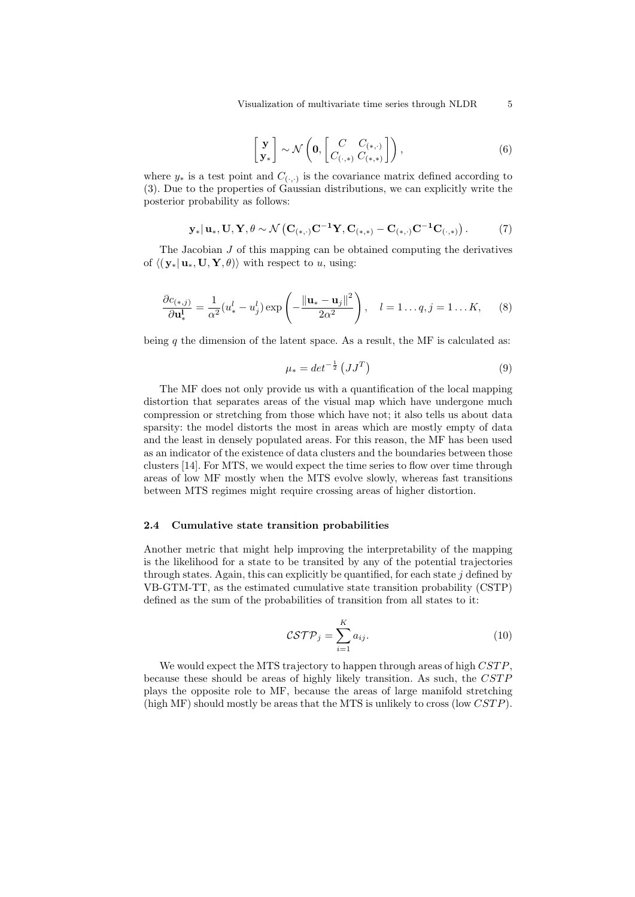$$
\begin{bmatrix} \mathbf{y} \\ \mathbf{y}_* \end{bmatrix} \sim \mathcal{N} \left( \mathbf{0}, \begin{bmatrix} C & C_{(*, \cdot)} \\ C_{(*, *)} & C_{(*, *)} \end{bmatrix} \right), \tag{6}
$$

where  $y_*$  is a test point and  $C_{(\cdot,\cdot)}$  is the covariance matrix defined according to (3). Due to the properties of Gaussian distributions, we can explicitly write the posterior probability as follows:

$$
\mathbf{y}_{*} | \mathbf{u}_{*}, \mathbf{U}, \mathbf{Y}, \theta \sim \mathcal{N}\left(\mathbf{C}_{(*,\cdot)}\mathbf{C}^{-1}\mathbf{Y}, \mathbf{C}_{(*,*)} - \mathbf{C}_{(*,\cdot)}\mathbf{C}^{-1}\mathbf{C}_{(\cdot,*)}\right). \tag{7}
$$

The Jacobian J of this mapping can be obtained computing the derivatives of  $\langle (\mathbf{y}_* | \mathbf{u}_*, \mathbf{U}, \mathbf{Y}, \theta) \rangle$  with respect to u, using:

$$
\frac{\partial c_{(*,j)}}{\partial \mathbf{u}_*^l} = \frac{1}{\alpha^2} (u_*^l - u_j^l) \exp\left(-\frac{\|\mathbf{u}_* - \mathbf{u}_j\|^2}{2\alpha^2}\right), \quad l = 1 \dots q, j = 1 \dots K, \tag{8}
$$

being  $q$  the dimension of the latent space. As a result, the MF is calculated as:

$$
\mu_* = det^{-\frac{1}{2}} \left( J J^T \right) \tag{9}
$$

The MF does not only provide us with a quantification of the local mapping distortion that separates areas of the visual map which have undergone much compression or stretching from those which have not; it also tells us about data sparsity: the model distorts the most in areas which are mostly empty of data and the least in densely populated areas. For this reason, the MF has been used as an indicator of the existence of data clusters and the boundaries between those clusters [14]. For MTS, we would expect the time series to flow over time through areas of low MF mostly when the MTS evolve slowly, whereas fast transitions between MTS regimes might require crossing areas of higher distortion.

#### 2.4 Cumulative state transition probabilities

Another metric that might help improving the interpretability of the mapping is the likelihood for a state to be transited by any of the potential trajectories through states. Again, this can explicitly be quantified, for each state  $j$  defined by VB-GTM-TT, as the estimated cumulative state transition probability (CSTP) defined as the sum of the probabilities of transition from all states to it:

$$
\mathcal{CSTP}_j = \sum_{i=1}^K a_{ij}.\tag{10}
$$

We would expect the MTS trajectory to happen through areas of high  $CSTP$ , because these should be areas of highly likely transition. As such, the CSTP plays the opposite role to MF, because the areas of large manifold stretching (high MF) should mostly be areas that the MTS is unlikely to cross (low  $CSTP$ ).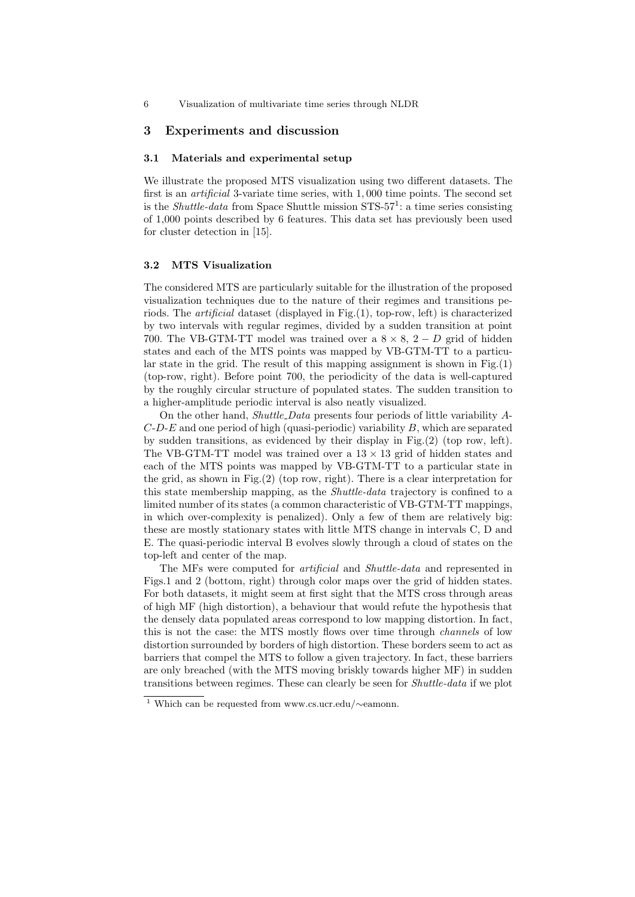## 3 Experiments and discussion

## 3.1 Materials and experimental setup

We illustrate the proposed MTS visualization using two different datasets. The first is an artificial 3-variate time series, with 1, 000 time points. The second set is the *Shuttle-data* from Space Shuttle mission  $STS-57^1$ : a time series consisting of 1,000 points described by 6 features. This data set has previously been used for cluster detection in [15].

## 3.2 MTS Visualization

The considered MTS are particularly suitable for the illustration of the proposed visualization techniques due to the nature of their regimes and transitions periods. The artificial dataset (displayed in Fig.(1), top-row, left) is characterized by two intervals with regular regimes, divided by a sudden transition at point 700. The VB-GTM-TT model was trained over a  $8 \times 8$ ,  $2 - D$  grid of hidden states and each of the MTS points was mapped by VB-GTM-TT to a particular state in the grid. The result of this mapping assignment is shown in  $Fig.(1)$ (top-row, right). Before point 700, the periodicity of the data is well-captured by the roughly circular structure of populated states. The sudden transition to a higher-amplitude periodic interval is also neatly visualized.

On the other hand, *Shuttle-Data* presents four periods of little variability  $A$ - $C-D-E$  and one period of high (quasi-periodic) variability B, which are separated by sudden transitions, as evidenced by their display in Fig.(2) (top row, left). The VB-GTM-TT model was trained over a  $13 \times 13$  grid of hidden states and each of the MTS points was mapped by VB-GTM-TT to a particular state in the grid, as shown in Fig. $(2)$  (top row, right). There is a clear interpretation for this state membership mapping, as the *Shuttle-data* trajectory is confined to a limited number of its states (a common characteristic of VB-GTM-TT mappings, in which over-complexity is penalized). Only a few of them are relatively big: these are mostly stationary states with little MTS change in intervals C, D and E. The quasi-periodic interval B evolves slowly through a cloud of states on the top-left and center of the map.

The MFs were computed for artificial and Shuttle-data and represented in Figs.1 and 2 (bottom, right) through color maps over the grid of hidden states. For both datasets, it might seem at first sight that the MTS cross through areas of high MF (high distortion), a behaviour that would refute the hypothesis that the densely data populated areas correspond to low mapping distortion. In fact, this is not the case: the MTS mostly flows over time through channels of low distortion surrounded by borders of high distortion. These borders seem to act as barriers that compel the MTS to follow a given trajectory. In fact, these barriers are only breached (with the MTS moving briskly towards higher MF) in sudden transitions between regimes. These can clearly be seen for Shuttle-data if we plot

 $^1$  Which can be requested from www.cs.ucr.edu/∼eamonn.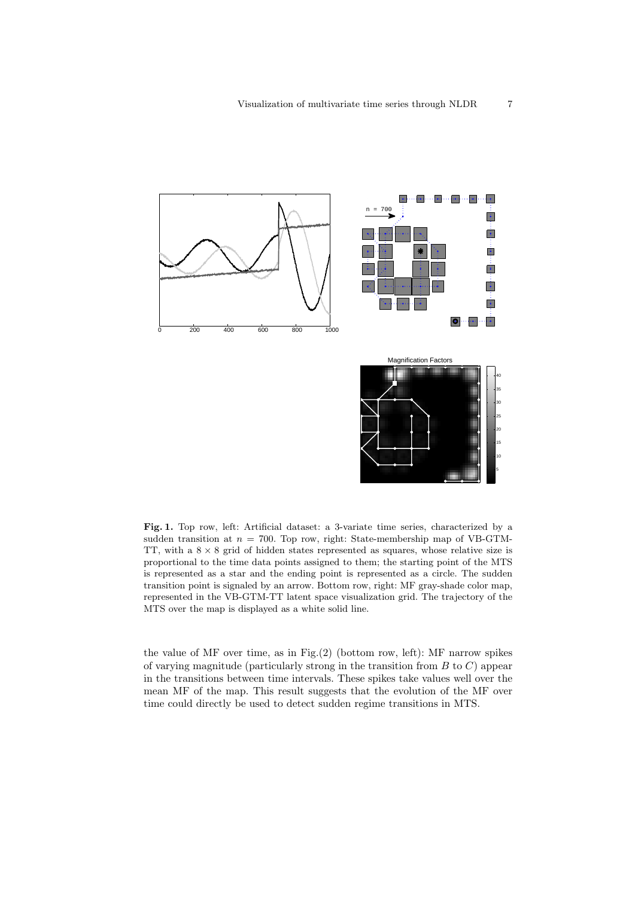

Fig. 1. Top row, left: Artificial dataset: a 3-variate time series, characterized by a sudden transition at  $n = 700$ . Top row, right: State-membership map of VB-GTM-TT, with a  $8 \times 8$  grid of hidden states represented as squares, whose relative size is proportional to the time data points assigned to them; the starting point of the MTS is represented as a star and the ending point is represented as a circle. The sudden transition point is signaled by an arrow. Bottom row, right: MF gray-shade color map, represented in the VB-GTM-TT latent space visualization grid. The trajectory of the MTS over the map is displayed as a white solid line.

the value of MF over time, as in Fig.(2) (bottom row, left): MF narrow spikes of varying magnitude (particularly strong in the transition from  $B$  to  $C$ ) appear in the transitions between time intervals. These spikes take values well over the mean MF of the map. This result suggests that the evolution of the MF over time could directly be used to detect sudden regime transitions in MTS.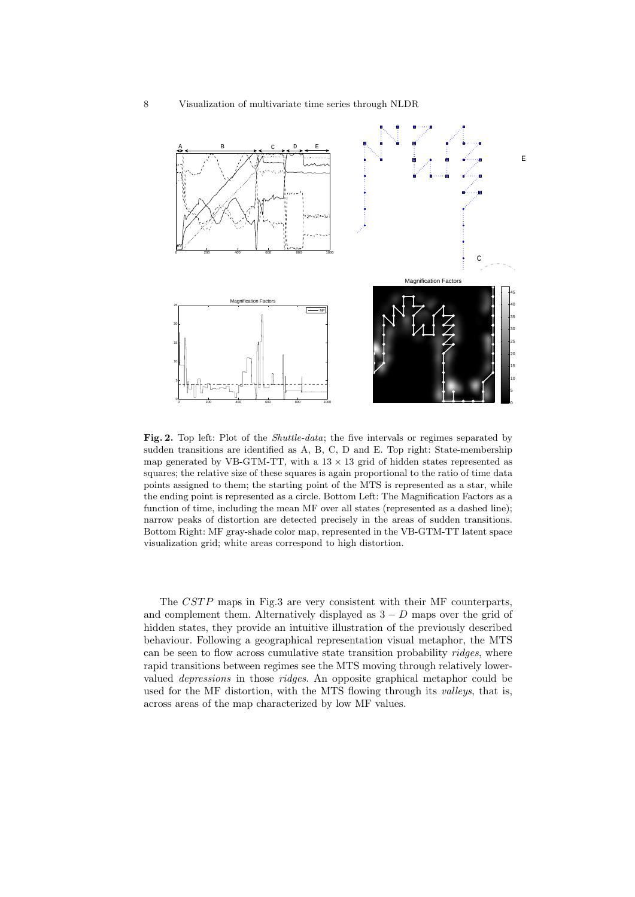

Fig. 2. Top left: Plot of the *Shuttle-data*; the five intervals or regimes separated by sudden transitions are identified as A, B, C, D and E. Top right: State-membership map generated by VB-GTM-TT, with a  $13 \times 13$  grid of hidden states represented as squares; the relative size of these squares is again proportional to the ratio of time data points assigned to them; the starting point of the MTS is represented as a star, while the ending point is represented as a circle. Bottom Left: The Magnification Factors as a function of time, including the mean MF over all states (represented as a dashed line); narrow peaks of distortion are detected precisely in the areas of sudden transitions. Bottom Right: MF gray-shade color map, represented in the VB-GTM-TT latent space visualization grid; white areas correspond to high distortion.

The CSTP maps in Fig.3 are very consistent with their MF counterparts, and complement them. Alternatively displayed as  $3-D$  maps over the grid of hidden states, they provide an intuitive illustration of the previously described behaviour. Following a geographical representation visual metaphor, the MTS can be seen to flow across cumulative state transition probability ridges, where rapid transitions between regimes see the MTS moving through relatively lowervalued depressions in those ridges. An opposite graphical metaphor could be used for the MF distortion, with the MTS flowing through its valleys, that is, across areas of the map characterized by low MF values.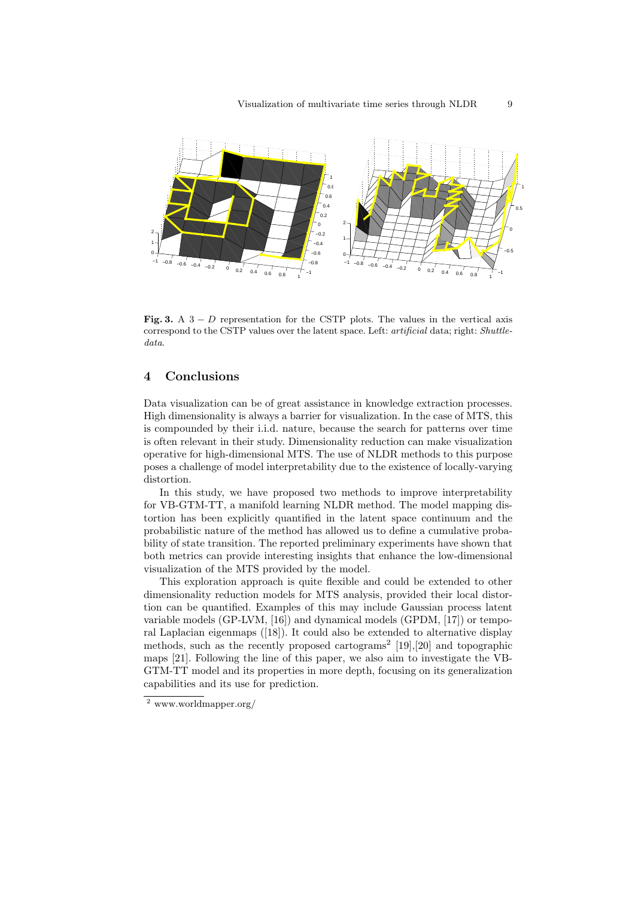

Fig. 3. A  $3 - D$  representation for the CSTP plots. The values in the vertical axis correspond to the CSTP values over the latent space. Left: artificial data; right: Shuttledata.

## 4 Conclusions

Data visualization can be of great assistance in knowledge extraction processes. High dimensionality is always a barrier for visualization. In the case of MTS, this is compounded by their i.i.d. nature, because the search for patterns over time is often relevant in their study. Dimensionality reduction can make visualization operative for high-dimensional MTS. The use of NLDR methods to this purpose poses a challenge of model interpretability due to the existence of locally-varying distortion.

In this study, we have proposed two methods to improve interpretability for VB-GTM-TT, a manifold learning NLDR method. The model mapping distortion has been explicitly quantified in the latent space continuum and the probabilistic nature of the method has allowed us to define a cumulative probability of state transition. The reported preliminary experiments have shown that both metrics can provide interesting insights that enhance the low-dimensional visualization of the MTS provided by the model.

This exploration approach is quite flexible and could be extended to other dimensionality reduction models for MTS analysis, provided their local distortion can be quantified. Examples of this may include Gaussian process latent variable models (GP-LVM, [16]) and dynamical models (GPDM, [17]) or temporal Laplacian eigenmaps ([18]). It could also be extended to alternative display methods, such as the recently proposed cartograms<sup>2</sup> [19], [20] and topographic maps [21]. Following the line of this paper, we also aim to investigate the VB-GTM-TT model and its properties in more depth, focusing on its generalization capabilities and its use for prediction.

<sup>2</sup> www.worldmapper.org/